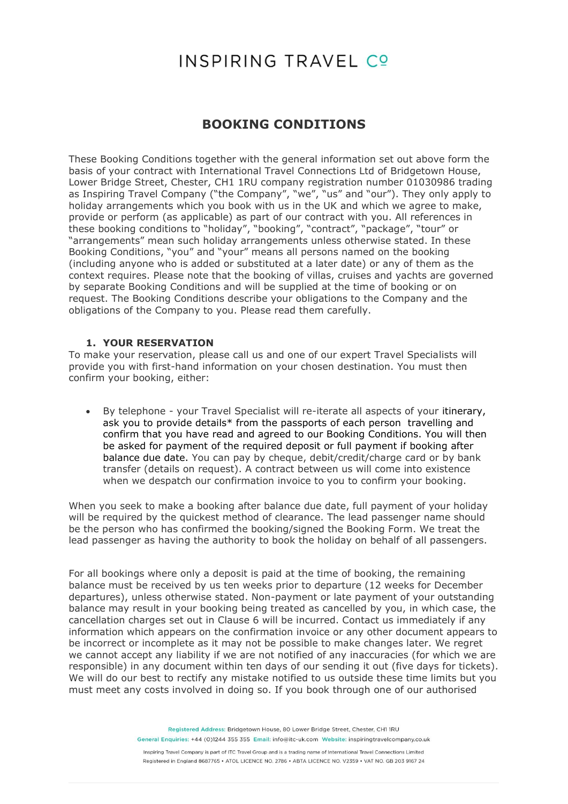## **BOOKING CONDITIONS**

These Booking Conditions together with the general information set out above form the basis of your contract with International Travel Connections Ltd of Bridgetown House, Lower Bridge Street, Chester, CH1 1RU company registration number 01030986 trading as Inspiring Travel Company ("the Company", "we", "us" and "our"). They only apply to holiday arrangements which you book with us in the UK and which we agree to make, provide or perform (as applicable) as part of our contract with you. All references in these booking conditions to "holiday", "booking", "contract", "package", "tour" or "arrangements" mean such holiday arrangements unless otherwise stated. In these Booking Conditions, "you" and "your" means all persons named on the booking (including anyone who is added or substituted at a later date) or any of them as the context requires. Please note that the booking of villas, cruises and yachts are governed by separate Booking Conditions and will be supplied at the time of booking or on request. The Booking Conditions describe your obligations to the Company and the obligations of the Company to you. Please read them carefully.

## **1. YOUR RESERVATION**

To make your reservation, please call us and one of our expert Travel Specialists will provide you with first-hand information on your chosen destination. You must then confirm your booking, either:

• By telephone - your Travel Specialist will re-iterate all aspects of your itinerary, ask you to provide details\* from the passports of each person travelling and confirm that you have read and agreed to our Booking Conditions. You will then be asked for payment of the required deposit or full payment if booking after balance due date. You can pay by cheque, debit/credit/charge card or by bank transfer (details on request). A contract between us will come into existence when we despatch our confirmation invoice to you to confirm your booking.

When you seek to make a booking after balance due date, full payment of your holiday will be required by the quickest method of clearance. The lead passenger name should be the person who has confirmed the booking/signed the Booking Form. We treat the lead passenger as having the authority to book the holiday on behalf of all passengers.

For all bookings where only a deposit is paid at the time of booking, the remaining balance must be received by us ten weeks prior to departure (12 weeks for December departures), unless otherwise stated. Non-payment or late payment of your outstanding balance may result in your booking being treated as cancelled by you, in which case, the cancellation charges set out in Clause 6 will be incurred. Contact us immediately if any information which appears on the confirmation invoice or any other document appears to be incorrect or incomplete as it may not be possible to make changes later. We regret we cannot accept any liability if we are not notified of any inaccuracies (for which we are responsible) in any document within ten days of our sending it out (five days for tickets). We will do our best to rectify any mistake notified to us outside these time limits but you must meet any costs involved in doing so. If you book through one of our authorised

> Registered Address: Bridgetown House, 80 Lower Bridge Street, Chester, CH11RU General Enguiries: +44 (0)1244 355 355 Email: info@itc-uk.com Website: inspiringtravelcompany.co.uk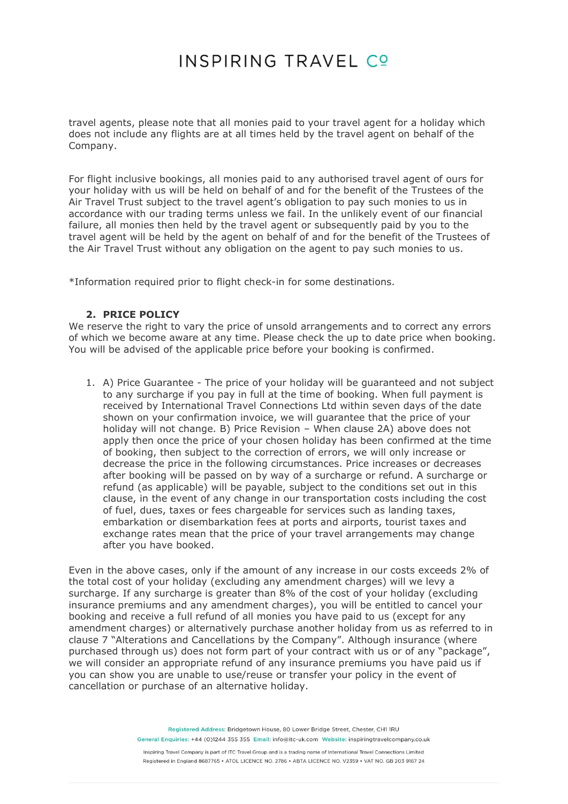travel agents, please note that all monies paid to your travel agent for a holiday which does not include any flights are at all times held by the travel agent on behalf of the Company.

For flight inclusive bookings, all monies paid to any authorised travel agent of ours for your holiday with us will be held on behalf of and for the benefit of the Trustees of the Air Travel Trust subject to the travel agent's obligation to pay such monies to us in accordance with our trading terms unless we fail. In the unlikely event of our financial failure, all monies then held by the travel agent or subsequently paid by you to the travel agent will be held by the agent on behalf of and for the benefit of the Trustees of the Air Travel Trust without any obligation on the agent to pay such monies to us.

\*Information required prior to flight check-in for some destinations.

## **2. PRICE POLICY**

We reserve the right to vary the price of unsold arrangements and to correct any errors of which we become aware at any time. Please check the up to date price when booking. You will be advised of the applicable price before your booking is confirmed.

1. A) Price Guarantee - The price of your holiday will be guaranteed and not subject to any surcharge if you pay in full at the time of booking. When full payment is received by International Travel Connections Ltd within seven days of the date shown on your confirmation invoice, we will guarantee that the price of your holiday will not change. B) Price Revision – When clause 2A) above does not apply then once the price of your chosen holiday has been confirmed at the time of booking, then subject to the correction of errors, we will only increase or decrease the price in the following circumstances. Price increases or decreases after booking will be passed on by way of a surcharge or refund. A surcharge or refund (as applicable) will be payable, subject to the conditions set out in this clause, in the event of any change in our transportation costs including the cost of fuel, dues, taxes or fees chargeable for services such as landing taxes, embarkation or disembarkation fees at ports and airports, tourist taxes and exchange rates mean that the price of your travel arrangements may change after you have booked.

Even in the above cases, only if the amount of any increase in our costs exceeds 2% of the total cost of your holiday (excluding any amendment charges) will we levy a surcharge. If any surcharge is greater than 8% of the cost of your holiday (excluding insurance premiums and any amendment charges), you will be entitled to cancel your booking and receive a full refund of all monies you have paid to us (except for any amendment charges) or alternatively purchase another holiday from us as referred to in clause 7 "Alterations and Cancellations by the Company". Although insurance (where purchased through us) does not form part of your contract with us or of any "package", we will consider an appropriate refund of any insurance premiums you have paid us if you can show you are unable to use/reuse or transfer your policy in the event of cancellation or purchase of an alternative holiday.

> Registered Address: Bridgetown House, 80 Lower Bridge Street, Chester, CH11RU General Enguiries: +44 (0)1244 355 355 Email: info@itc-uk.com Website: inspiringtravelcompany.co.uk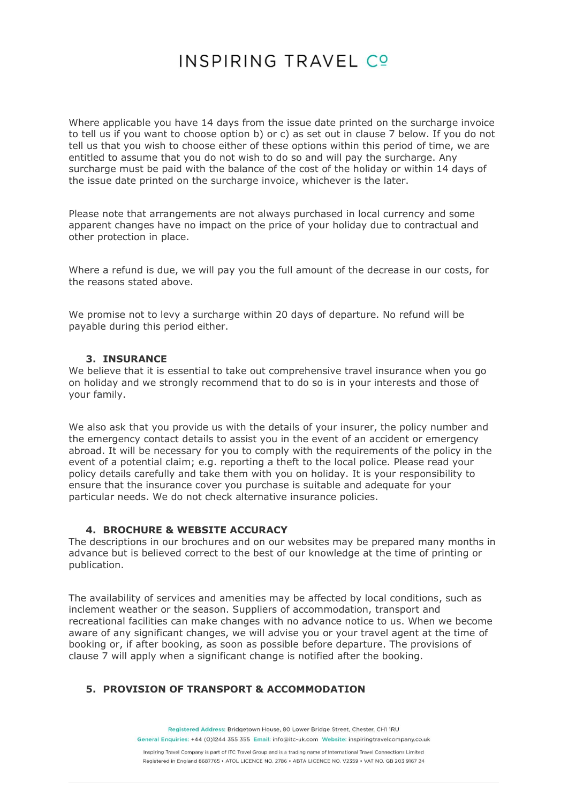Where applicable you have 14 days from the issue date printed on the surcharge invoice to tell us if you want to choose option b) or c) as set out in clause 7 below. If you do not tell us that you wish to choose either of these options within this period of time, we are entitled to assume that you do not wish to do so and will pay the surcharge. Any surcharge must be paid with the balance of the cost of the holiday or within 14 days of the issue date printed on the surcharge invoice, whichever is the later.

Please note that arrangements are not always purchased in local currency and some apparent changes have no impact on the price of your holiday due to contractual and other protection in place.

Where a refund is due, we will pay you the full amount of the decrease in our costs, for the reasons stated above.

We promise not to levy a surcharge within 20 days of departure. No refund will be payable during this period either.

## **3. INSURANCE**

We believe that it is essential to take out comprehensive travel insurance when you go on holiday and we strongly recommend that to do so is in your interests and those of your family.

We also ask that you provide us with the details of your insurer, the policy number and the emergency contact details to assist you in the event of an accident or emergency abroad. It will be necessary for you to comply with the requirements of the policy in the event of a potential claim; e.g. reporting a theft to the local police. Please read your policy details carefully and take them with you on holiday. It is your responsibility to ensure that the insurance cover you purchase is suitable and adequate for your particular needs. We do not check alternative insurance policies.

## **4. BROCHURE & WEBSITE ACCURACY**

The descriptions in our brochures and on our websites may be prepared many months in advance but is believed correct to the best of our knowledge at the time of printing or publication.

The availability of services and amenities may be affected by local conditions, such as inclement weather or the season. Suppliers of accommodation, transport and recreational facilities can make changes with no advance notice to us. When we become aware of any significant changes, we will advise you or your travel agent at the time of booking or, if after booking, as soon as possible before departure. The provisions of clause 7 will apply when a significant change is notified after the booking.

## **5. PROVISION OF TRANSPORT & ACCOMMODATION**

Registered Address: Bridgetown House, 80 Lower Bridge Street, Chester, CH11RU General Enquiries: +44 (0)1244 355 355 Email: info@itc-uk.com Website: inspiringtravelcompany.co.uk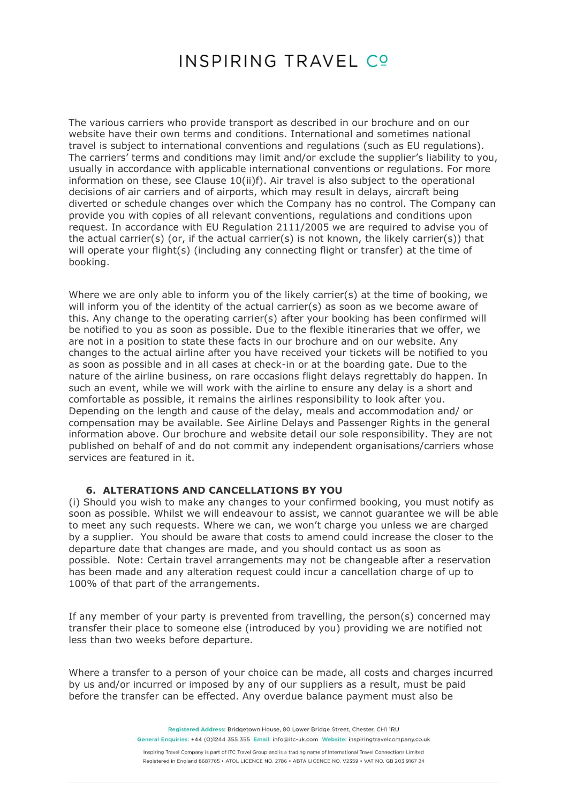The various carriers who provide transport as described in our brochure and on our website have their own terms and conditions. International and sometimes national travel is subject to international conventions and regulations (such as EU regulations). The carriers' terms and conditions may limit and/or exclude the supplier's liability to you, usually in accordance with applicable international conventions or regulations. For more information on these, see Clause 10(ii)f). Air travel is also subject to the operational decisions of air carriers and of airports, which may result in delays, aircraft being diverted or schedule changes over which the Company has no control. The Company can provide you with copies of all relevant conventions, regulations and conditions upon request. In accordance with EU Regulation 2111/2005 we are required to advise you of the actual carrier(s) (or, if the actual carrier(s) is not known, the likely carrier(s)) that will operate your flight(s) (including any connecting flight or transfer) at the time of booking.

Where we are only able to inform you of the likely carrier(s) at the time of booking, we will inform you of the identity of the actual carrier(s) as soon as we become aware of this. Any change to the operating carrier(s) after your booking has been confirmed will be notified to you as soon as possible. Due to the flexible itineraries that we offer, we are not in a position to state these facts in our brochure and on our website. Any changes to the actual airline after you have received your tickets will be notified to you as soon as possible and in all cases at check-in or at the boarding gate. Due to the nature of the airline business, on rare occasions flight delays regrettably do happen. In such an event, while we will work with the airline to ensure any delay is a short and comfortable as possible, it remains the airlines responsibility to look after you. Depending on the length and cause of the delay, meals and accommodation and/ or compensation may be available. See Airline Delays and Passenger Rights in the general information above. Our brochure and website detail our sole responsibility. They are not published on behalf of and do not commit any independent organisations/carriers whose services are featured in it.

### **6. ALTERATIONS AND CANCELLATIONS BY YOU**

(i) Should you wish to make any changes to your confirmed booking, you must notify as soon as possible. Whilst we will endeavour to assist, we cannot guarantee we will be able to meet any such requests. Where we can, we won't charge you unless we are charged by a supplier. You should be aware that costs to amend could increase the closer to the departure date that changes are made, and you should contact us as soon as possible. Note: Certain travel arrangements may not be changeable after a reservation has been made and any alteration request could incur a cancellation charge of up to 100% of that part of the arrangements.

If any member of your party is prevented from travelling, the person(s) concerned may transfer their place to someone else (introduced by you) providing we are notified not less than two weeks before departure.

Where a transfer to a person of your choice can be made, all costs and charges incurred by us and/or incurred or imposed by any of our suppliers as a result, must be paid before the transfer can be effected. Any overdue balance payment must also be

> Registered Address: Bridgetown House, 80 Lower Bridge Street, Chester, CH11RU General Enguiries: +44 (0)1244 355 355 Email: info@itc-uk.com Website: inspiringtravelcompany.co.uk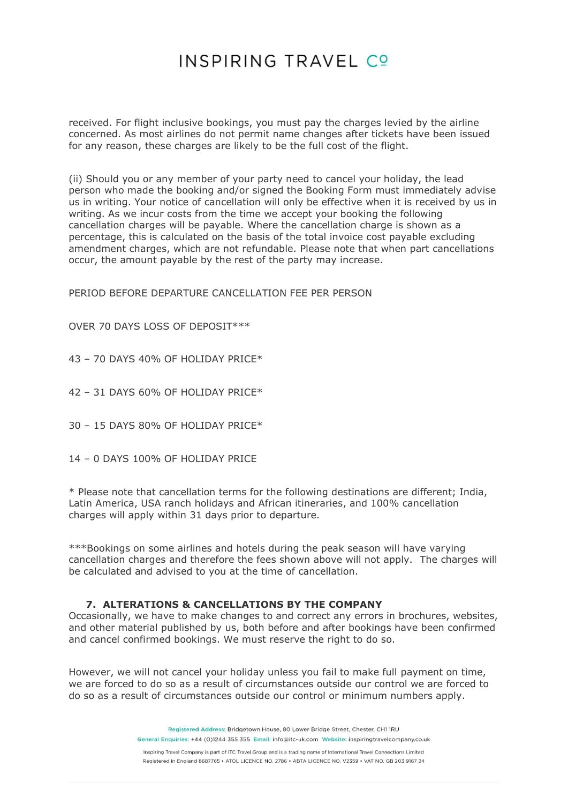received. For flight inclusive bookings, you must pay the charges levied by the airline concerned. As most airlines do not permit name changes after tickets have been issued for any reason, these charges are likely to be the full cost of the flight.

(ii) Should you or any member of your party need to cancel your holiday, the lead person who made the booking and/or signed the Booking Form must immediately advise us in writing. Your notice of cancellation will only be effective when it is received by us in writing. As we incur costs from the time we accept your booking the following cancellation charges will be payable. Where the cancellation charge is shown as a percentage, this is calculated on the basis of the total invoice cost payable excluding amendment charges, which are not refundable. Please note that when part cancellations occur, the amount payable by the rest of the party may increase.

PERIOD BEFORE DEPARTURE CANCELLATION FEE PER PERSON

## OVER 70 DAYS LOSS OF DEPOSIT\*\*\*

43 – 70 DAYS 40% OF HOLIDAY PRICE\*

42 – 31 DAYS 60% OF HOLIDAY PRICE\*

30 – 15 DAYS 80% OF HOLIDAY PRICE\*

14 – 0 DAYS 100% OF HOLIDAY PRICE

\* Please note that cancellation terms for the following destinations are different; India, Latin America, USA ranch holidays and African itineraries, and 100% cancellation charges will apply within 31 days prior to departure.

\*\*\*Bookings on some airlines and hotels during the peak season will have varying cancellation charges and therefore the fees shown above will not apply. The charges will be calculated and advised to you at the time of cancellation.

### **7. ALTERATIONS & CANCELLATIONS BY THE COMPANY**

Occasionally, we have to make changes to and correct any errors in brochures, websites, and other material published by us, both before and after bookings have been confirmed and cancel confirmed bookings. We must reserve the right to do so.

However, we will not cancel your holiday unless you fail to make full payment on time, we are forced to do so as a result of circumstances outside our control we are forced to do so as a result of circumstances outside our control or minimum numbers apply.

> Registered Address: Bridgetown House, 80 Lower Bridge Street, Chester, CH11RU General Enguiries: +44 (0)1244 355 355 Email: info@itc-uk.com Website: inspiringtravelcompany.co.uk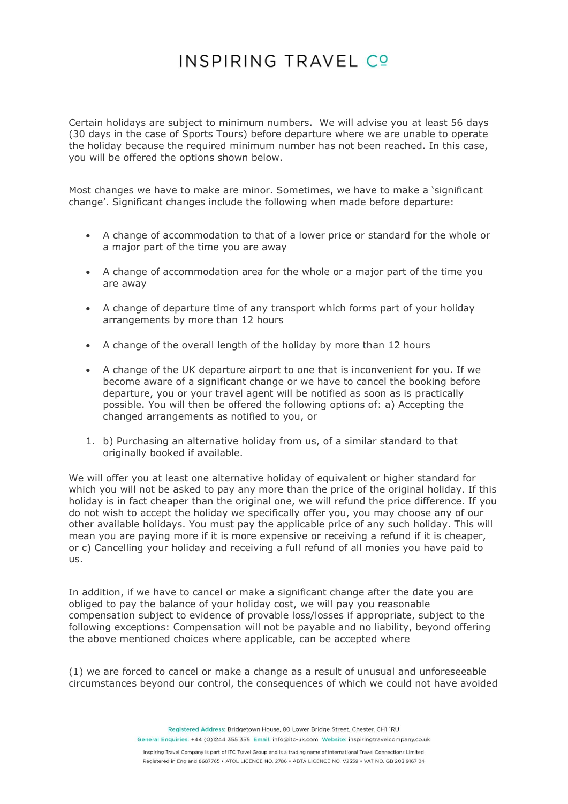Certain holidays are subject to minimum numbers. We will advise you at least 56 days (30 days in the case of Sports Tours) before departure where we are unable to operate the holiday because the required minimum number has not been reached. In this case, you will be offered the options shown below.

Most changes we have to make are minor. Sometimes, we have to make a 'significant change'. Significant changes include the following when made before departure:

- A change of accommodation to that of a lower price or standard for the whole or a major part of the time you are away
- A change of accommodation area for the whole or a major part of the time you are away
- A change of departure time of any transport which forms part of your holiday arrangements by more than 12 hours
- A change of the overall length of the holiday by more than 12 hours
- A change of the UK departure airport to one that is inconvenient for you. If we become aware of a significant change or we have to cancel the booking before departure, you or your travel agent will be notified as soon as is practically possible. You will then be offered the following options of: a) Accepting the changed arrangements as notified to you, or
- 1. b) Purchasing an alternative holiday from us, of a similar standard to that originally booked if available.

We will offer you at least one alternative holiday of equivalent or higher standard for which you will not be asked to pay any more than the price of the original holiday. If this holiday is in fact cheaper than the original one, we will refund the price difference. If you do not wish to accept the holiday we specifically offer you, you may choose any of our other available holidays. You must pay the applicable price of any such holiday. This will mean you are paying more if it is more expensive or receiving a refund if it is cheaper, or c) Cancelling your holiday and receiving a full refund of all monies you have paid to us.

In addition, if we have to cancel or make a significant change after the date you are obliged to pay the balance of your holiday cost, we will pay you reasonable compensation subject to evidence of provable loss/losses if appropriate, subject to the following exceptions: Compensation will not be payable and no liability, beyond offering the above mentioned choices where applicable, can be accepted where

(1) we are forced to cancel or make a change as a result of unusual and unforeseeable circumstances beyond our control, the consequences of which we could not have avoided

> Registered Address: Bridgetown House, 80 Lower Bridge Street, Chester, CH11RU General Enguiries: +44 (0)1244 355 355 Email: info@itc-uk.com Website: inspiringtravelcompany.co.uk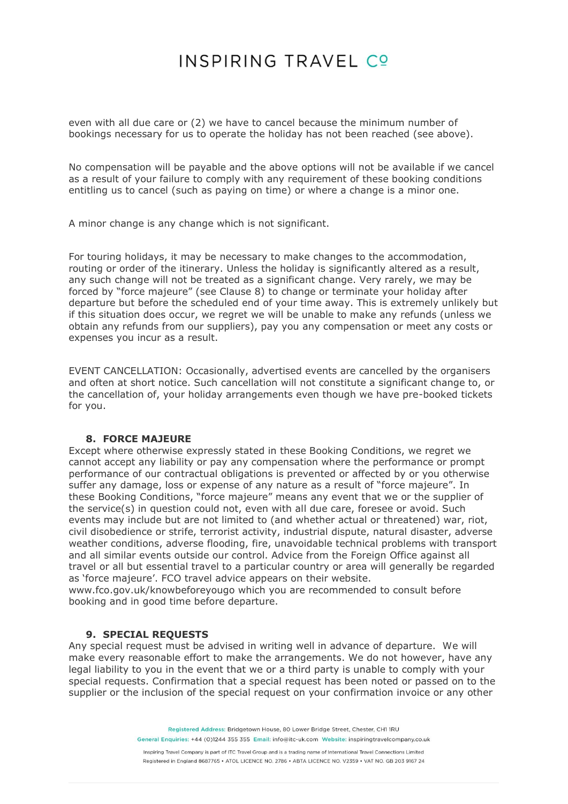even with all due care or (2) we have to cancel because the minimum number of bookings necessary for us to operate the holiday has not been reached (see above).

No compensation will be payable and the above options will not be available if we cancel as a result of your failure to comply with any requirement of these booking conditions entitling us to cancel (such as paying on time) or where a change is a minor one.

A minor change is any change which is not significant.

For touring holidays, it may be necessary to make changes to the accommodation, routing or order of the itinerary. Unless the holiday is significantly altered as a result, any such change will not be treated as a significant change. Very rarely, we may be forced by "force majeure" (see Clause 8) to change or terminate your holiday after departure but before the scheduled end of your time away. This is extremely unlikely but if this situation does occur, we regret we will be unable to make any refunds (unless we obtain any refunds from our suppliers), pay you any compensation or meet any costs or expenses you incur as a result.

EVENT CANCELLATION: Occasionally, advertised events are cancelled by the organisers and often at short notice. Such cancellation will not constitute a significant change to, or the cancellation of, your holiday arrangements even though we have pre-booked tickets for you.

### **8. FORCE MAJEURE**

Except where otherwise expressly stated in these Booking Conditions, we regret we cannot accept any liability or pay any compensation where the performance or prompt performance of our contractual obligations is prevented or affected by or you otherwise suffer any damage, loss or expense of any nature as a result of "force majeure". In these Booking Conditions, "force majeure" means any event that we or the supplier of the service(s) in question could not, even with all due care, foresee or avoid. Such events may include but are not limited to (and whether actual or threatened) war, riot, civil disobedience or strife, terrorist activity, industrial dispute, natural disaster, adverse weather conditions, adverse flooding, fire, unavoidable technical problems with transport and all similar events outside our control. Advice from the Foreign Office against all travel or all but essential travel to a particular country or area will generally be regarded as 'force majeure'. FCO travel advice appears on their website.

www.fco.gov.uk/knowbeforeyougo which you are recommended to consult before booking and in good time before departure.

#### **9. SPECIAL REQUESTS**

Any special request must be advised in writing well in advance of departure. We will make every reasonable effort to make the arrangements. We do not however, have any legal liability to you in the event that we or a third party is unable to comply with your special requests. Confirmation that a special request has been noted or passed on to the supplier or the inclusion of the special request on your confirmation invoice or any other

> Registered Address: Bridgetown House, 80 Lower Bridge Street, Chester, CH11RU General Enguiries: +44 (0)1244 355 355 Email: info@itc-uk.com Website: inspiringtravelcompany.co.uk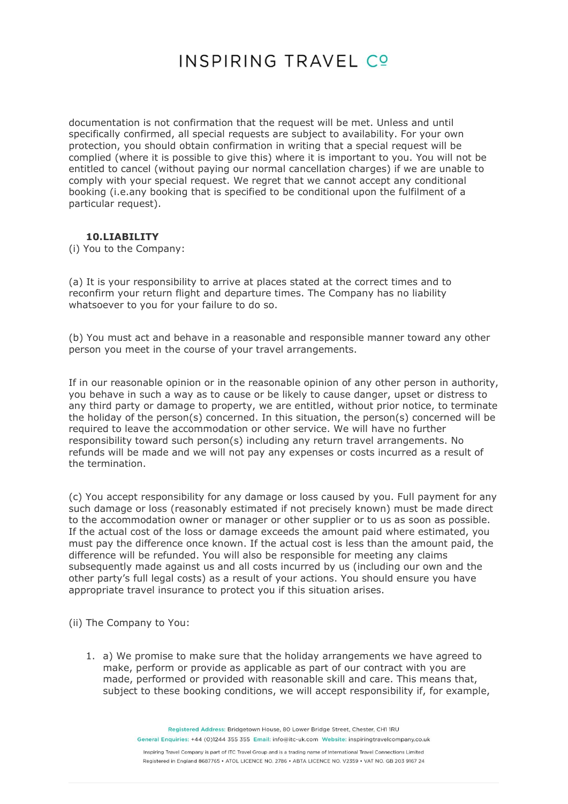documentation is not confirmation that the request will be met. Unless and until specifically confirmed, all special requests are subject to availability. For your own protection, you should obtain confirmation in writing that a special request will be complied (where it is possible to give this) where it is important to you. You will not be entitled to cancel (without paying our normal cancellation charges) if we are unable to comply with your special request. We regret that we cannot accept any conditional booking (i.e.any booking that is specified to be conditional upon the fulfilment of a particular request).

## **10.LIABILITY**

(i) You to the Company:

(a) It is your responsibility to arrive at places stated at the correct times and to reconfirm your return flight and departure times. The Company has no liability whatsoever to you for your failure to do so.

(b) You must act and behave in a reasonable and responsible manner toward any other person you meet in the course of your travel arrangements.

If in our reasonable opinion or in the reasonable opinion of any other person in authority, you behave in such a way as to cause or be likely to cause danger, upset or distress to any third party or damage to property, we are entitled, without prior notice, to terminate the holiday of the person(s) concerned. In this situation, the person(s) concerned will be required to leave the accommodation or other service. We will have no further responsibility toward such person(s) including any return travel arrangements. No refunds will be made and we will not pay any expenses or costs incurred as a result of the termination.

(c) You accept responsibility for any damage or loss caused by you. Full payment for any such damage or loss (reasonably estimated if not precisely known) must be made direct to the accommodation owner or manager or other supplier or to us as soon as possible. If the actual cost of the loss or damage exceeds the amount paid where estimated, you must pay the difference once known. If the actual cost is less than the amount paid, the difference will be refunded. You will also be responsible for meeting any claims subsequently made against us and all costs incurred by us (including our own and the other party's full legal costs) as a result of your actions. You should ensure you have appropriate travel insurance to protect you if this situation arises.

(ii) The Company to You:

1. a) We promise to make sure that the holiday arrangements we have agreed to make, perform or provide as applicable as part of our contract with you are made, performed or provided with reasonable skill and care. This means that, subject to these booking conditions, we will accept responsibility if, for example,

> Registered Address: Bridgetown House, 80 Lower Bridge Street, Chester, CH11RU General Enguiries: +44 (0)1244 355 355 Email: info@itc-uk.com Website: inspiringtravelcompany.co.uk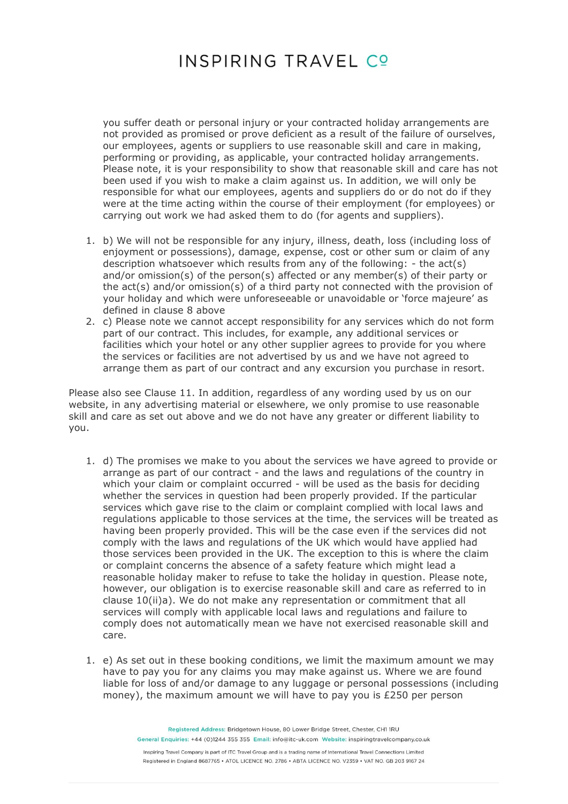you suffer death or personal injury or your contracted holiday arrangements are not provided as promised or prove deficient as a result of the failure of ourselves, our employees, agents or suppliers to use reasonable skill and care in making, performing or providing, as applicable, your contracted holiday arrangements. Please note, it is your responsibility to show that reasonable skill and care has not been used if you wish to make a claim against us. In addition, we will only be responsible for what our employees, agents and suppliers do or do not do if they were at the time acting within the course of their employment (for employees) or carrying out work we had asked them to do (for agents and suppliers).

- 1. b) We will not be responsible for any injury, illness, death, loss (including loss of enjoyment or possessions), damage, expense, cost or other sum or claim of any description whatsoever which results from any of the following: - the act(s) and/or omission(s) of the person(s) affected or any member(s) of their party or the  $act(s)$  and/or omission(s) of a third party not connected with the provision of your holiday and which were unforeseeable or unavoidable or 'force majeure' as defined in clause 8 above
- 2. c) Please note we cannot accept responsibility for any services which do not form part of our contract. This includes, for example, any additional services or facilities which your hotel or any other supplier agrees to provide for you where the services or facilities are not advertised by us and we have not agreed to arrange them as part of our contract and any excursion you purchase in resort.

Please also see Clause 11. In addition, regardless of any wording used by us on our website, in any advertising material or elsewhere, we only promise to use reasonable skill and care as set out above and we do not have any greater or different liability to you.

- 1. d) The promises we make to you about the services we have agreed to provide or arrange as part of our contract - and the laws and regulations of the country in which your claim or complaint occurred - will be used as the basis for deciding whether the services in question had been properly provided. If the particular services which gave rise to the claim or complaint complied with local laws and regulations applicable to those services at the time, the services will be treated as having been properly provided. This will be the case even if the services did not comply with the laws and regulations of the UK which would have applied had those services been provided in the UK. The exception to this is where the claim or complaint concerns the absence of a safety feature which might lead a reasonable holiday maker to refuse to take the holiday in question. Please note, however, our obligation is to exercise reasonable skill and care as referred to in clause 10(ii)a). We do not make any representation or commitment that all services will comply with applicable local laws and regulations and failure to comply does not automatically mean we have not exercised reasonable skill and care.
- 1. e) As set out in these booking conditions, we limit the maximum amount we may have to pay you for any claims you may make against us. Where we are found liable for loss of and/or damage to any luggage or personal possessions (including money), the maximum amount we will have to pay you is £250 per person

Registered Address: Bridgetown House, 80 Lower Bridge Street, Chester, CH11RU General Enguiries: +44 (0)1244 355 355 Email: info@itc-uk.com Website: inspiringtravelcompany.co.uk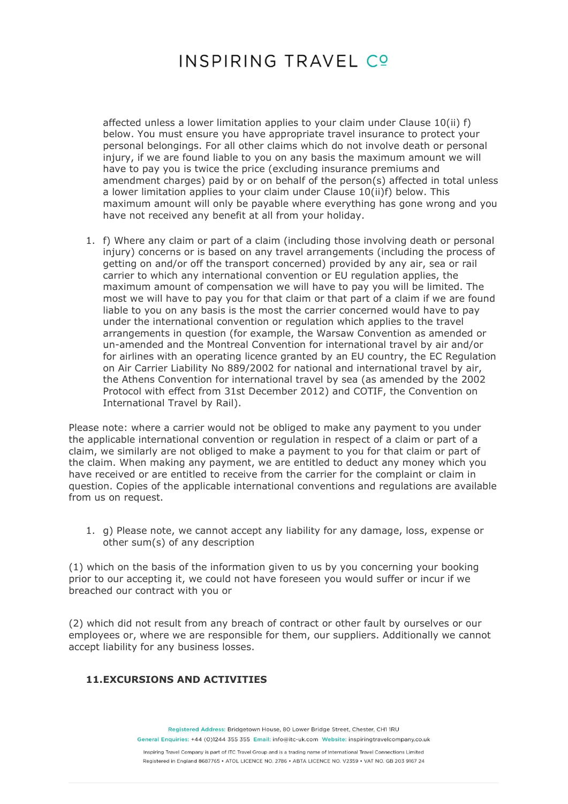affected unless a lower limitation applies to your claim under Clause 10(ii) f) below. You must ensure you have appropriate travel insurance to protect your personal belongings. For all other claims which do not involve death or personal injury, if we are found liable to you on any basis the maximum amount we will have to pay you is twice the price (excluding insurance premiums and amendment charges) paid by or on behalf of the person(s) affected in total unless a lower limitation applies to your claim under Clause 10(ii)f) below. This maximum amount will only be payable where everything has gone wrong and you have not received any benefit at all from your holiday.

1. f) Where any claim or part of a claim (including those involving death or personal injury) concerns or is based on any travel arrangements (including the process of getting on and/or off the transport concerned) provided by any air, sea or rail carrier to which any international convention or EU regulation applies, the maximum amount of compensation we will have to pay you will be limited. The most we will have to pay you for that claim or that part of a claim if we are found liable to you on any basis is the most the carrier concerned would have to pay under the international convention or regulation which applies to the travel arrangements in question (for example, the Warsaw Convention as amended or un-amended and the Montreal Convention for international travel by air and/or for airlines with an operating licence granted by an EU country, the EC Regulation on Air Carrier Liability No 889/2002 for national and international travel by air, the Athens Convention for international travel by sea (as amended by the 2002 Protocol with effect from 31st December 2012) and COTIF, the Convention on International Travel by Rail).

Please note: where a carrier would not be obliged to make any payment to you under the applicable international convention or regulation in respect of a claim or part of a claim, we similarly are not obliged to make a payment to you for that claim or part of the claim. When making any payment, we are entitled to deduct any money which you have received or are entitled to receive from the carrier for the complaint or claim in question. Copies of the applicable international conventions and regulations are available from us on request.

1. g) Please note, we cannot accept any liability for any damage, loss, expense or other sum(s) of any description

(1) which on the basis of the information given to us by you concerning your booking prior to our accepting it, we could not have foreseen you would suffer or incur if we breached our contract with you or

(2) which did not result from any breach of contract or other fault by ourselves or our employees or, where we are responsible for them, our suppliers. Additionally we cannot accept liability for any business losses.

## **11.EXCURSIONS AND ACTIVITIES**

Registered Address: Bridgetown House, 80 Lower Bridge Street, Chester, CH11RU General Enguiries: +44 (0)1244 355 355 Email: info@itc-uk.com Website: inspiringtravelcompany.co.uk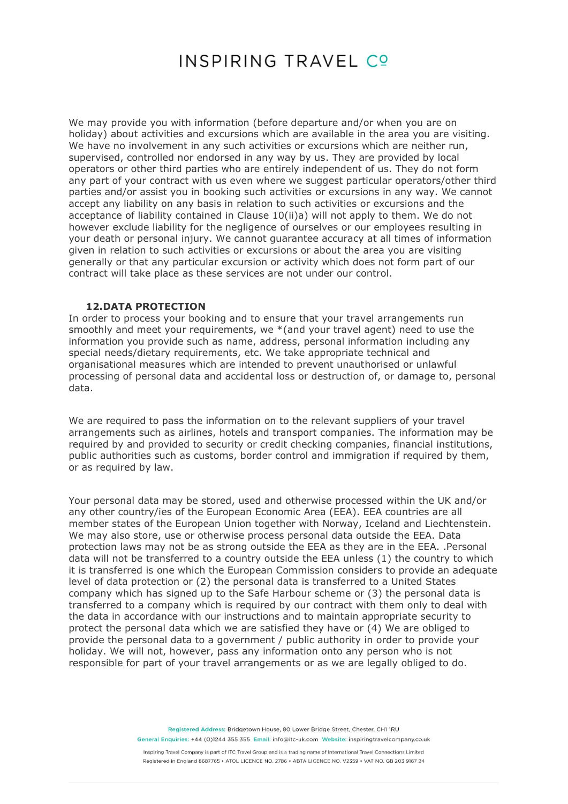We may provide you with information (before departure and/or when you are on holiday) about activities and excursions which are available in the area you are visiting. We have no involvement in any such activities or excursions which are neither run, supervised, controlled nor endorsed in any way by us. They are provided by local operators or other third parties who are entirely independent of us. They do not form any part of your contract with us even where we suggest particular operators/other third parties and/or assist you in booking such activities or excursions in any way. We cannot accept any liability on any basis in relation to such activities or excursions and the acceptance of liability contained in Clause 10(ii)a) will not apply to them. We do not however exclude liability for the negligence of ourselves or our employees resulting in your death or personal injury. We cannot guarantee accuracy at all times of information given in relation to such activities or excursions or about the area you are visiting generally or that any particular excursion or activity which does not form part of our contract will take place as these services are not under our control.

## **12.DATA PROTECTION**

In order to process your booking and to ensure that your travel arrangements run smoothly and meet your requirements, we \*(and your travel agent) need to use the information you provide such as name, address, personal information including any special needs/dietary requirements, etc. We take appropriate technical and organisational measures which are intended to prevent unauthorised or unlawful processing of personal data and accidental loss or destruction of, or damage to, personal data.

We are required to pass the information on to the relevant suppliers of your travel arrangements such as airlines, hotels and transport companies. The information may be required by and provided to security or credit checking companies, financial institutions, public authorities such as customs, border control and immigration if required by them, or as required by law.

Your personal data may be stored, used and otherwise processed within the UK and/or any other country/ies of the European Economic Area (EEA). EEA countries are all member states of the European Union together with Norway, Iceland and Liechtenstein. We may also store, use or otherwise process personal data outside the EEA. Data protection laws may not be as strong outside the EEA as they are in the EEA. .Personal data will not be transferred to a country outside the EEA unless (1) the country to which it is transferred is one which the European Commission considers to provide an adequate level of data protection or (2) the personal data is transferred to a United States company which has signed up to the Safe Harbour scheme or (3) the personal data is transferred to a company which is required by our contract with them only to deal with the data in accordance with our instructions and to maintain appropriate security to protect the personal data which we are satisfied they have or (4) We are obliged to provide the personal data to a government / public authority in order to provide your holiday. We will not, however, pass any information onto any person who is not responsible for part of your travel arrangements or as we are legally obliged to do.

> Registered Address: Bridgetown House, 80 Lower Bridge Street, Chester, CH11RU General Enguiries: +44 (0)1244 355 355 Email: info@itc-uk.com Website: inspiringtravelcompany.co.uk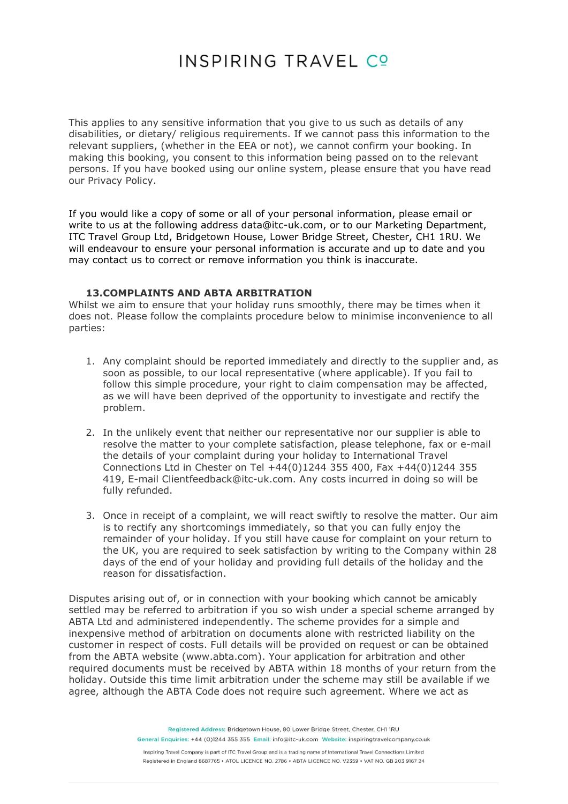This applies to any sensitive information that you give to us such as details of any disabilities, or dietary/ religious requirements. If we cannot pass this information to the relevant suppliers, (whether in the EEA or not), we cannot confirm your booking. In making this booking, you consent to this information being passed on to the relevant persons. If you have booked using our online system, please ensure that you have read our Privacy Policy.

If you would like a copy of some or all of your personal information, please email or write to us at the following address data@itc-uk.com, or to our Marketing Department, ITC Travel Group Ltd, Bridgetown House, Lower Bridge Street, Chester, CH1 1RU. We will endeavour to ensure your personal information is accurate and up to date and you may contact us to correct or remove information you think is inaccurate.

## **13.COMPLAINTS AND ABTA ARBITRATION**

Whilst we aim to ensure that your holiday runs smoothly, there may be times when it does not. Please follow the complaints procedure below to minimise inconvenience to all parties:

- 1. Any complaint should be reported immediately and directly to the supplier and, as soon as possible, to our local representative (where applicable). If you fail to follow this simple procedure, your right to claim compensation may be affected, as we will have been deprived of the opportunity to investigate and rectify the problem.
- 2. In the unlikely event that neither our representative nor our supplier is able to resolve the matter to your complete satisfaction, please telephone, fax or e-mail the details of your complaint during your holiday to International Travel Connections Ltd in Chester on Tel +44(0)1244 355 400, Fax +44(0)1244 355 419, E-mail Clientfeedback@itc-uk.com. Any costs incurred in doing so will be fully refunded.
- 3. Once in receipt of a complaint, we will react swiftly to resolve the matter. Our aim is to rectify any shortcomings immediately, so that you can fully enjoy the remainder of your holiday. If you still have cause for complaint on your return to the UK, you are required to seek satisfaction by writing to the Company within 28 days of the end of your holiday and providing full details of the holiday and the reason for dissatisfaction.

Disputes arising out of, or in connection with your booking which cannot be amicably settled may be referred to arbitration if you so wish under a special scheme arranged by ABTA Ltd and administered independently. The scheme provides for a simple and inexpensive method of arbitration on documents alone with restricted liability on the customer in respect of costs. Full details will be provided on request or can be obtained from the ABTA website (www.abta.com). Your application for arbitration and other required documents must be received by ABTA within 18 months of your return from the holiday. Outside this time limit arbitration under the scheme may still be available if we agree, although the ABTA Code does not require such agreement. Where we act as

> Registered Address: Bridgetown House, 80 Lower Bridge Street, Chester, CH11RU General Enguiries: +44 (0)1244 355 355 Email: info@itc-uk.com Website: inspiringtravelcompany.co.uk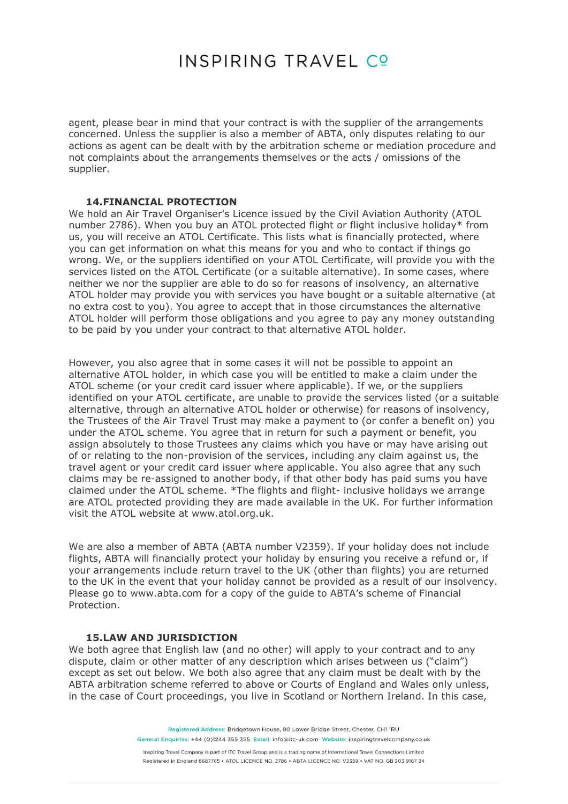agent, please bear in mind that your contract is with the supplier of the arrangements concerned. Unless the supplier is also a member of ABTA, only disputes relating to our actions as agent can be dealt with by the arbitration scheme or mediation procedure and not complaints about the arrangements themselves or the acts / omissions of the supplier.

#### **14.FINANCIAL PROTECTION**

We hold an Air Travel Organiser's Licence issued by the Civil Aviation Authority (ATOL number 2786). When you buy an ATOL protected flight or flight inclusive holiday\* from us, you will receive an ATOL Certificate. This lists what is financially protected, where you can get information on what this means for you and who to contact if things go wrong. We, or the suppliers identified on your ATOL Certificate, will provide you with the services listed on the ATOL Certificate (or a suitable alternative). In some cases, where neither we nor the supplier are able to do so for reasons of insolvency, an alternative ATOL holder may provide you with services you have bought or a suitable alternative (at no extra cost to you). You agree to accept that in those circumstances the alternative ATOL holder will perform those obligations and you agree to pay any money outstanding to be paid by you under your contract to that alternative ATOL holder.

However, you also agree that in some cases it will not be possible to appoint an alternative ATOL holder, in which case you will be entitled to make a claim under the ATOL scheme (or your credit card issuer where applicable). If we, or the suppliers identified on your ATOL certificate, are unable to provide the services listed (or a suitable alternative, through an alternative ATOL holder or otherwise) for reasons of insolvency, the Trustees of the Air Travel Trust may make a payment to (or confer a benefit on) you under the ATOL scheme. You agree that in return for such a payment or benefit, you assign absolutely to those Trustees any claims which you have or may have arising out of or relating to the non-provision of the services, including any claim against us, the travel agent or your credit card issuer where applicable. You also agree that any such claims may be re-assigned to another body, if that other body has paid sums you have claimed under the ATOL scheme. \*The flights and flight- inclusive holidays we arrange are ATOL protected providing they are made available in the UK. For further information visit the ATOL website at www.atol.org.uk.

We are also a member of ABTA (ABTA number V2359). If your holiday does not include flights, ABTA will financially protect your holiday by ensuring you receive a refund or, if your arrangements include return travel to the UK (other than flights) you are returned to the UK in the event that your holiday cannot be provided as a result of our insolvency. Please go to www.abta.com for a copy of the guide to ABTA's scheme of Financial Protection.

#### **15.LAW AND JURISDICTION**

We both agree that English law (and no other) will apply to your contract and to any dispute, claim or other matter of any description which arises between us ("claim") except as set out below. We both also agree that any claim must be dealt with by the ABTA arbitration scheme referred to above or Courts of England and Wales only unless, in the case of Court proceedings, you live in Scotland or Northern Ireland. In this case,

> Registered Address: Bridgetown House, 80 Lower Bridge Street, Chester, CH11RU General Enguiries: +44 (0)1244 355 355 Email: info@itc-uk.com Website: inspiringtravelcompany.co.uk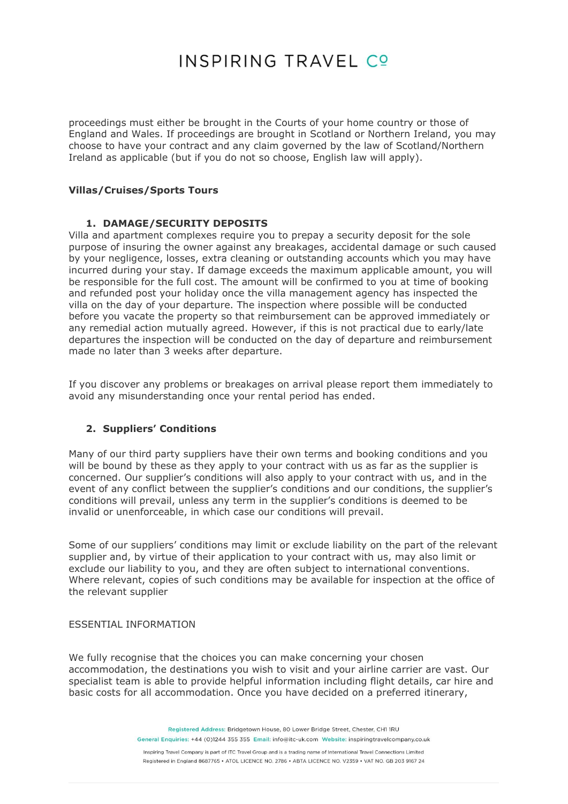proceedings must either be brought in the Courts of your home country or those of England and Wales. If proceedings are brought in Scotland or Northern Ireland, you may choose to have your contract and any claim governed by the law of Scotland/Northern Ireland as applicable (but if you do not so choose, English law will apply).

## **Villas/Cruises/Sports Tours**

## **1. DAMAGE/SECURITY DEPOSITS**

Villa and apartment complexes require you to prepay a security deposit for the sole purpose of insuring the owner against any breakages, accidental damage or such caused by your negligence, losses, extra cleaning or outstanding accounts which you may have incurred during your stay. If damage exceeds the maximum applicable amount, you will be responsible for the full cost. The amount will be confirmed to you at time of booking and refunded post your holiday once the villa management agency has inspected the villa on the day of your departure. The inspection where possible will be conducted before you vacate the property so that reimbursement can be approved immediately or any remedial action mutually agreed. However, if this is not practical due to early/late departures the inspection will be conducted on the day of departure and reimbursement made no later than 3 weeks after departure.

If you discover any problems or breakages on arrival please report them immediately to avoid any misunderstanding once your rental period has ended.

#### **2. Suppliers' Conditions**

Many of our third party suppliers have their own terms and booking conditions and you will be bound by these as they apply to your contract with us as far as the supplier is concerned. Our supplier's conditions will also apply to your contract with us, and in the event of any conflict between the supplier's conditions and our conditions, the supplier's conditions will prevail, unless any term in the supplier's conditions is deemed to be invalid or unenforceable, in which case our conditions will prevail.

Some of our suppliers' conditions may limit or exclude liability on the part of the relevant supplier and, by virtue of their application to your contract with us, may also limit or exclude our liability to you, and they are often subject to international conventions. Where relevant, copies of such conditions may be available for inspection at the office of the relevant supplier

## ESSENTIAL INFORMATION

We fully recognise that the choices you can make concerning your chosen accommodation, the destinations you wish to visit and your airline carrier are vast. Our specialist team is able to provide helpful information including flight details, car hire and basic costs for all accommodation. Once you have decided on a preferred itinerary,

> Registered Address: Bridgetown House, 80 Lower Bridge Street, Chester, CH11RU General Enquiries: +44 (0)1244 355 355 Email: info@itc-uk.com Website: inspiringtravelcompany.co.uk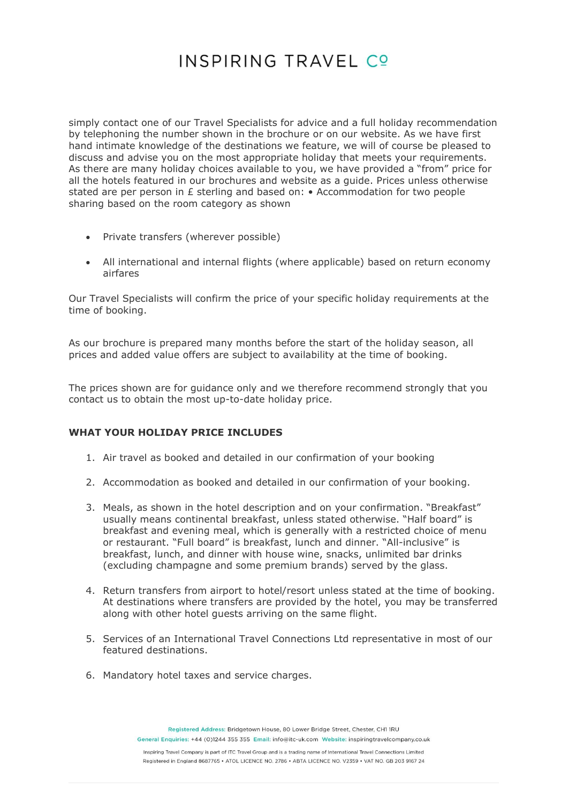simply contact one of our Travel Specialists for advice and a full holiday recommendation by telephoning the number shown in the brochure or on our website. As we have first hand intimate knowledge of the destinations we feature, we will of course be pleased to discuss and advise you on the most appropriate holiday that meets your requirements. As there are many holiday choices available to you, we have provided a "from" price for all the hotels featured in our brochures and website as a guide. Prices unless otherwise stated are per person in £ sterling and based on: • Accommodation for two people sharing based on the room category as shown

- Private transfers (wherever possible)
- All international and internal flights (where applicable) based on return economy airfares

Our Travel Specialists will confirm the price of your specific holiday requirements at the time of booking.

As our brochure is prepared many months before the start of the holiday season, all prices and added value offers are subject to availability at the time of booking.

The prices shown are for guidance only and we therefore recommend strongly that you contact us to obtain the most up-to-date holiday price.

## **WHAT YOUR HOLIDAY PRICE INCLUDES**

- 1. Air travel as booked and detailed in our confirmation of your booking
- 2. Accommodation as booked and detailed in our confirmation of your booking.
- 3. Meals, as shown in the hotel description and on your confirmation. "Breakfast" usually means continental breakfast, unless stated otherwise. "Half board" is breakfast and evening meal, which is generally with a restricted choice of menu or restaurant. "Full board" is breakfast, lunch and dinner. "All-inclusive" is breakfast, lunch, and dinner with house wine, snacks, unlimited bar drinks (excluding champagne and some premium brands) served by the glass.
- 4. Return transfers from airport to hotel/resort unless stated at the time of booking. At destinations where transfers are provided by the hotel, you may be transferred along with other hotel guests arriving on the same flight.
- 5. Services of an International Travel Connections Ltd representative in most of our featured destinations.
- 6. Mandatory hotel taxes and service charges.

Registered Address: Bridgetown House, 80 Lower Bridge Street, Chester, CH11RU General Enguiries: +44 (0)1244 355 355 Email: info@itc-uk.com Website: inspiringtravelcompany.co.uk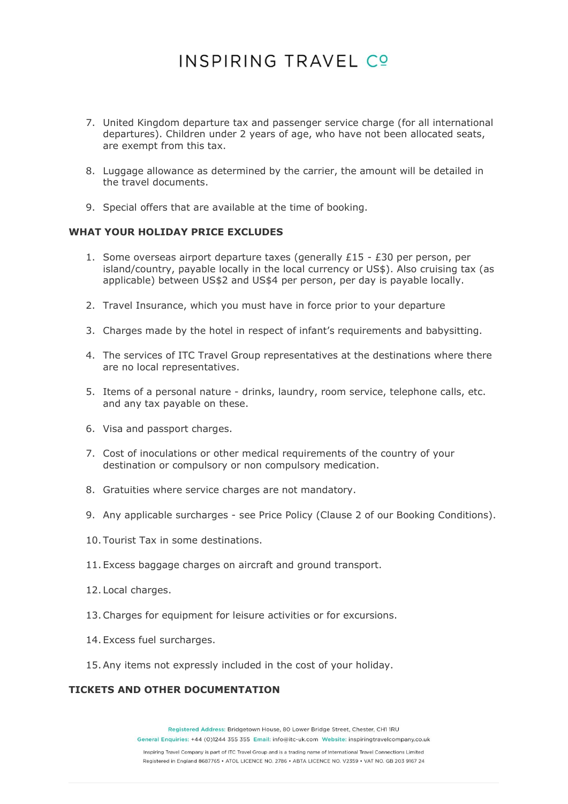- 7. United Kingdom departure tax and passenger service charge (for all international departures). Children under 2 years of age, who have not been allocated seats, are exempt from this tax.
- 8. Luggage allowance as determined by the carrier, the amount will be detailed in the travel documents.
- 9. Special offers that are available at the time of booking.

## **WHAT YOUR HOLIDAY PRICE EXCLUDES**

- 1. Some overseas airport departure taxes (generally  $£15 £30$  per person, per island/country, payable locally in the local currency or US\$). Also cruising tax (as applicable) between US\$2 and US\$4 per person, per day is payable locally.
- 2. Travel Insurance, which you must have in force prior to your departure
- 3. Charges made by the hotel in respect of infant's requirements and babysitting.
- 4. The services of ITC Travel Group representatives at the destinations where there are no local representatives.
- 5. Items of a personal nature drinks, laundry, room service, telephone calls, etc. and any tax payable on these.
- 6. Visa and passport charges.
- 7. Cost of inoculations or other medical requirements of the country of your destination or compulsory or non compulsory medication.
- 8. Gratuities where service charges are not mandatory.
- 9. Any applicable surcharges see Price Policy (Clause 2 of our Booking Conditions).
- 10. Tourist Tax in some destinations.
- 11. Excess baggage charges on aircraft and ground transport.
- 12. Local charges.
- 13.Charges for equipment for leisure activities or for excursions.
- 14. Excess fuel surcharges.
- 15.Any items not expressly included in the cost of your holiday.

## **TICKETS AND OTHER DOCUMENTATION**

Registered Address: Bridgetown House, 80 Lower Bridge Street, Chester, CH11RU General Enguiries: +44 (0)1244 355 355 Email: info@itc-uk.com Website: inspiringtravelcompany.co.uk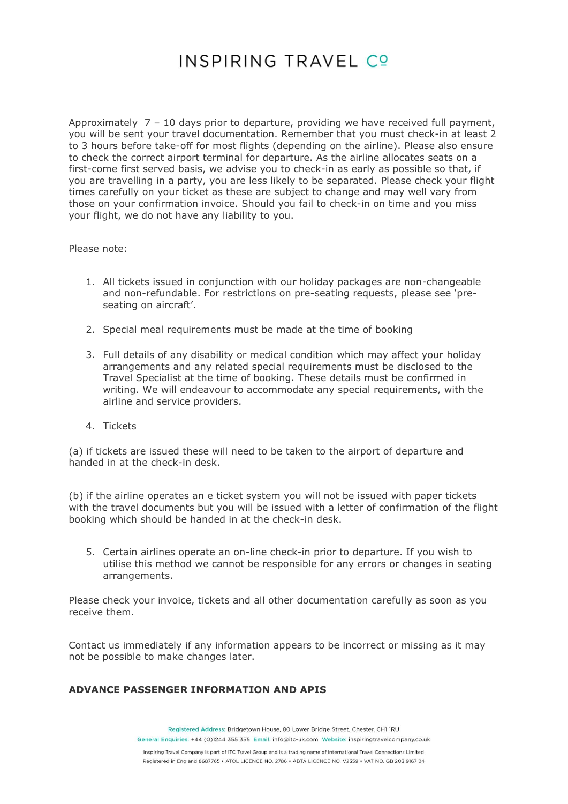Approximately  $7 - 10$  days prior to departure, providing we have received full payment, you will be sent your travel documentation. Remember that you must check-in at least 2 to 3 hours before take-off for most flights (depending on the airline). Please also ensure to check the correct airport terminal for departure. As the airline allocates seats on a first-come first served basis, we advise you to check-in as early as possible so that, if you are travelling in a party, you are less likely to be separated. Please check your flight times carefully on your ticket as these are subject to change and may well vary from those on your confirmation invoice. Should you fail to check-in on time and you miss your flight, we do not have any liability to you.

Please note:

- 1. All tickets issued in conjunction with our holiday packages are non-changeable and non-refundable. For restrictions on pre-seating requests, please see 'preseating on aircraft'.
- 2. Special meal requirements must be made at the time of booking
- 3. Full details of any disability or medical condition which may affect your holiday arrangements and any related special requirements must be disclosed to the Travel Specialist at the time of booking. These details must be confirmed in writing. We will endeavour to accommodate any special requirements, with the airline and service providers.
- 4. Tickets

(a) if tickets are issued these will need to be taken to the airport of departure and handed in at the check-in desk.

(b) if the airline operates an e ticket system you will not be issued with paper tickets with the travel documents but you will be issued with a letter of confirmation of the flight booking which should be handed in at the check-in desk.

5. Certain airlines operate an on-line check-in prior to departure. If you wish to utilise this method we cannot be responsible for any errors or changes in seating arrangements.

Please check your invoice, tickets and all other documentation carefully as soon as you receive them.

Contact us immediately if any information appears to be incorrect or missing as it may not be possible to make changes later.

## **ADVANCE PASSENGER INFORMATION AND APIS**

Registered Address: Bridgetown House, 80 Lower Bridge Street, Chester, CH11RU General Enguiries: +44 (0)1244 355 355 Email: info@itc-uk.com Website: inspiringtravelcompany.co.uk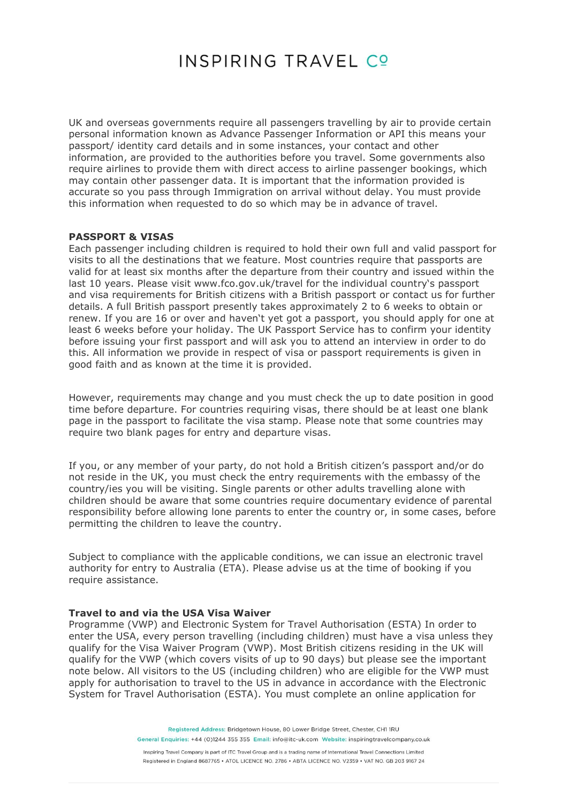UK and overseas governments require all passengers travelling by air to provide certain personal information known as Advance Passenger Information or API this means your passport/ identity card details and in some instances, your contact and other information, are provided to the authorities before you travel. Some governments also require airlines to provide them with direct access to airline passenger bookings, which may contain other passenger data. It is important that the information provided is accurate so you pass through Immigration on arrival without delay. You must provide this information when requested to do so which may be in advance of travel.

#### **PASSPORT & VISAS**

Each passenger including children is required to hold their own full and valid passport for visits to all the destinations that we feature. Most countries require that passports are valid for at least six months after the departure from their country and issued within the last 10 years. Please visit www.fco.gov.uk/travel for the individual country's passport and visa requirements for British citizens with a British passport or contact us for further details. A full British passport presently takes approximately 2 to 6 weeks to obtain or renew. If you are 16 or over and haven't yet got a passport, you should apply for one at least 6 weeks before your holiday. The UK Passport Service has to confirm your identity before issuing your first passport and will ask you to attend an interview in order to do this. All information we provide in respect of visa or passport requirements is given in good faith and as known at the time it is provided.

However, requirements may change and you must check the up to date position in good time before departure. For countries requiring visas, there should be at least one blank page in the passport to facilitate the visa stamp. Please note that some countries may require two blank pages for entry and departure visas.

If you, or any member of your party, do not hold a British citizen's passport and/or do not reside in the UK, you must check the entry requirements with the embassy of the country/ies you will be visiting. Single parents or other adults travelling alone with children should be aware that some countries require documentary evidence of parental responsibility before allowing lone parents to enter the country or, in some cases, before permitting the children to leave the country.

Subject to compliance with the applicable conditions, we can issue an electronic travel authority for entry to Australia (ETA). Please advise us at the time of booking if you require assistance.

### **Travel to and via the USA Visa Waiver**

Programme (VWP) and Electronic System for Travel Authorisation (ESTA) In order to enter the USA, every person travelling (including children) must have a visa unless they qualify for the Visa Waiver Program (VWP). Most British citizens residing in the UK will qualify for the VWP (which covers visits of up to 90 days) but please see the important note below. All visitors to the US (including children) who are eligible for the VWP must apply for authorisation to travel to the US in advance in accordance with the Electronic System for Travel Authorisation (ESTA). You must complete an online application for

> Registered Address: Bridgetown House, 80 Lower Bridge Street, Chester, CH11RU General Enguiries: +44 (0)1244 355 355 Email: info@itc-uk.com Website: inspiringtravelcompany.co.uk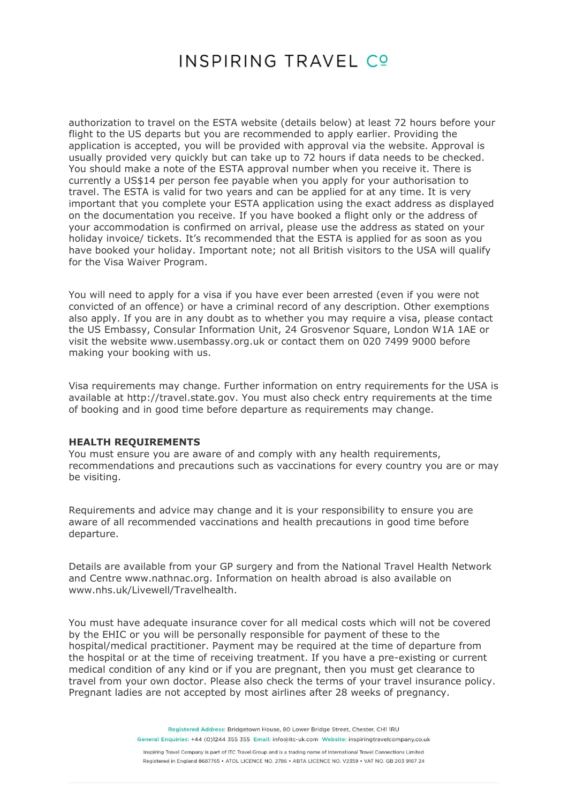authorization to travel on the ESTA website (details below) at least 72 hours before your flight to the US departs but you are recommended to apply earlier. Providing the application is accepted, you will be provided with approval via the website. Approval is usually provided very quickly but can take up to 72 hours if data needs to be checked. You should make a note of the ESTA approval number when you receive it. There is currently a US\$14 per person fee payable when you apply for your authorisation to travel. The ESTA is valid for two years and can be applied for at any time. It is very important that you complete your ESTA application using the exact address as displayed on the documentation you receive. If you have booked a flight only or the address of your accommodation is confirmed on arrival, please use the address as stated on your holiday invoice/ tickets. It's recommended that the ESTA is applied for as soon as you have booked your holiday. Important note; not all British visitors to the USA will qualify for the Visa Waiver Program.

You will need to apply for a visa if you have ever been arrested (even if you were not convicted of an offence) or have a criminal record of any description. Other exemptions also apply. If you are in any doubt as to whether you may require a visa, please contact the US Embassy, Consular Information Unit, 24 Grosvenor Square, London W1A 1AE or visit the website www.usembassy.org.uk or contact them on 020 7499 9000 before making your booking with us.

Visa requirements may change. Further information on entry requirements for the USA is available at http://travel.state.gov. You must also check entry requirements at the time of booking and in good time before departure as requirements may change.

#### **HEALTH REQUIREMENTS**

You must ensure you are aware of and comply with any health requirements, recommendations and precautions such as vaccinations for every country you are or may be visiting.

Requirements and advice may change and it is your responsibility to ensure you are aware of all recommended vaccinations and health precautions in good time before departure.

Details are available from your GP surgery and from the National Travel Health Network and Centre www.nathnac.org. Information on health abroad is also available on www.nhs.uk/Livewell/Travelhealth.

You must have adequate insurance cover for all medical costs which will not be covered by the EHIC or you will be personally responsible for payment of these to the hospital/medical practitioner. Payment may be required at the time of departure from the hospital or at the time of receiving treatment. If you have a pre-existing or current medical condition of any kind or if you are pregnant, then you must get clearance to travel from your own doctor. Please also check the terms of your travel insurance policy. Pregnant ladies are not accepted by most airlines after 28 weeks of pregnancy.

> Registered Address: Bridgetown House, 80 Lower Bridge Street, Chester, CH11RU General Enguiries: +44 (0)1244 355 355 Email: info@itc-uk.com Website: inspiringtravelcompany.co.uk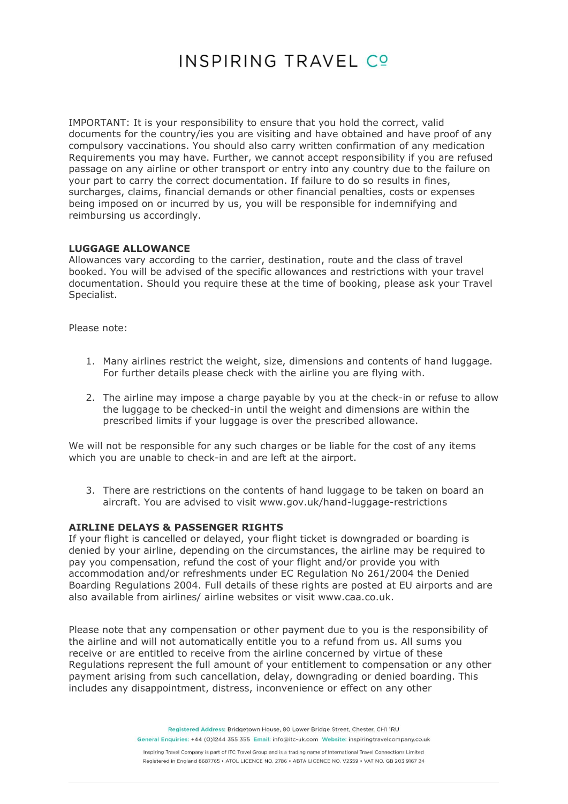IMPORTANT: It is your responsibility to ensure that you hold the correct, valid documents for the country/ies you are visiting and have obtained and have proof of any compulsory vaccinations. You should also carry written confirmation of any medication Requirements you may have. Further, we cannot accept responsibility if you are refused passage on any airline or other transport or entry into any country due to the failure on your part to carry the correct documentation. If failure to do so results in fines, surcharges, claims, financial demands or other financial penalties, costs or expenses being imposed on or incurred by us, you will be responsible for indemnifying and reimbursing us accordingly.

## **LUGGAGE ALLOWANCE**

Allowances vary according to the carrier, destination, route and the class of travel booked. You will be advised of the specific allowances and restrictions with your travel documentation. Should you require these at the time of booking, please ask your Travel Specialist.

Please note:

- 1. Many airlines restrict the weight, size, dimensions and contents of hand luggage. For further details please check with the airline you are flying with.
- 2. The airline may impose a charge payable by you at the check-in or refuse to allow the luggage to be checked-in until the weight and dimensions are within the prescribed limits if your luggage is over the prescribed allowance.

We will not be responsible for any such charges or be liable for the cost of any items which you are unable to check-in and are left at the airport.

3. There are restrictions on the contents of hand luggage to be taken on board an aircraft. You are advised to visit www.gov.uk/hand-luggage-restrictions

## **AIRLINE DELAYS & PASSENGER RIGHTS**

If your flight is cancelled or delayed, your flight ticket is downgraded or boarding is denied by your airline, depending on the circumstances, the airline may be required to pay you compensation, refund the cost of your flight and/or provide you with accommodation and/or refreshments under EC Regulation No 261/2004 the Denied Boarding Regulations 2004. Full details of these rights are posted at EU airports and are also available from airlines/ airline websites or visit www.caa.co.uk.

Please note that any compensation or other payment due to you is the responsibility of the airline and will not automatically entitle you to a refund from us. All sums you receive or are entitled to receive from the airline concerned by virtue of these Regulations represent the full amount of your entitlement to compensation or any other payment arising from such cancellation, delay, downgrading or denied boarding. This includes any disappointment, distress, inconvenience or effect on any other

> Registered Address: Bridgetown House, 80 Lower Bridge Street, Chester, CH11RU General Enguiries: +44 (0)1244 355 355 Email: info@itc-uk.com Website: inspiringtravelcompany.co.uk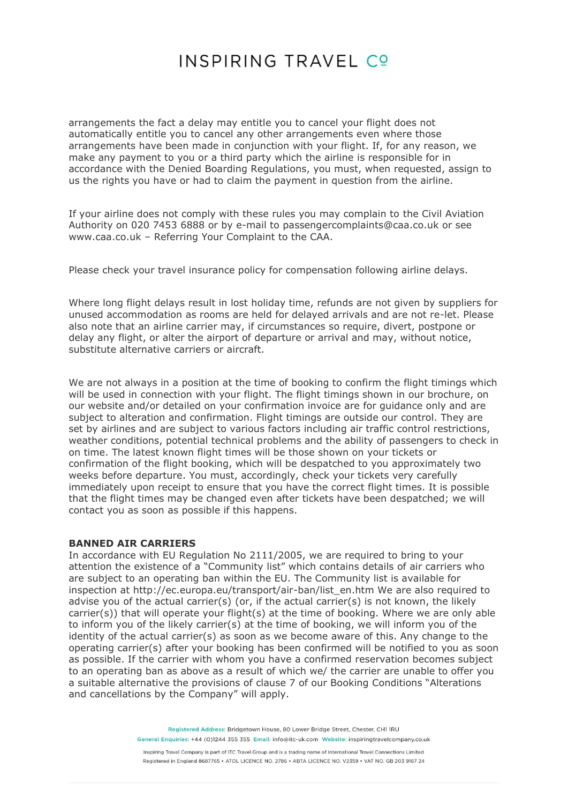arrangements the fact a delay may entitle you to cancel your flight does not automatically entitle you to cancel any other arrangements even where those arrangements have been made in conjunction with your flight. If, for any reason, we make any payment to you or a third party which the airline is responsible for in accordance with the Denied Boarding Regulations, you must, when requested, assign to us the rights you have or had to claim the payment in question from the airline.

If your airline does not comply with these rules you may complain to the Civil Aviation Authority on 020 7453 6888 or by e-mail to passengercomplaints@caa.co.uk or see www.caa.co.uk – Referring Your Complaint to the CAA.

Please check your travel insurance policy for compensation following airline delays.

Where long flight delays result in lost holiday time, refunds are not given by suppliers for unused accommodation as rooms are held for delayed arrivals and are not re-let. Please also note that an airline carrier may, if circumstances so require, divert, postpone or delay any flight, or alter the airport of departure or arrival and may, without notice, substitute alternative carriers or aircraft.

We are not always in a position at the time of booking to confirm the flight timings which will be used in connection with your flight. The flight timings shown in our brochure, on our website and/or detailed on your confirmation invoice are for guidance only and are subject to alteration and confirmation. Flight timings are outside our control. They are set by airlines and are subject to various factors including air traffic control restrictions, weather conditions, potential technical problems and the ability of passengers to check in on time. The latest known flight times will be those shown on your tickets or confirmation of the flight booking, which will be despatched to you approximately two weeks before departure. You must, accordingly, check your tickets very carefully immediately upon receipt to ensure that you have the correct flight times. It is possible that the flight times may be changed even after tickets have been despatched; we will contact you as soon as possible if this happens.

### **BANNED AIR CARRIERS**

In accordance with EU Regulation No 2111/2005, we are required to bring to your attention the existence of a "Community list" which contains details of air carriers who are subject to an operating ban within the EU. The Community list is available for inspection at http://ec.europa.eu/transport/air-ban/list\_en.htm We are also required to advise you of the actual carrier(s) (or, if the actual carrier(s) is not known, the likely carrier(s)) that will operate your flight(s) at the time of booking. Where we are only able to inform you of the likely carrier(s) at the time of booking, we will inform you of the identity of the actual carrier(s) as soon as we become aware of this. Any change to the operating carrier(s) after your booking has been confirmed will be notified to you as soon as possible. If the carrier with whom you have a confirmed reservation becomes subject to an operating ban as above as a result of which we/ the carrier are unable to offer you a suitable alternative the provisions of clause 7 of our Booking Conditions "Alterations and cancellations by the Company" will apply.

> Registered Address: Bridgetown House, 80 Lower Bridge Street, Chester, CH11RU General Enquiries: +44 (0)1244 355 355 Email: info@itc-uk.com Website: inspiringtravelcompany.co.uk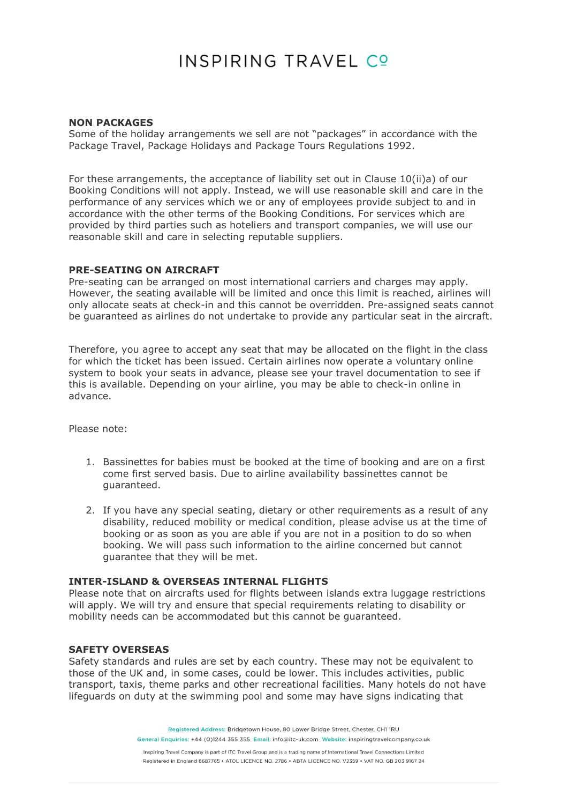## **NON PACKAGES**

Some of the holiday arrangements we sell are not "packages" in accordance with the Package Travel, Package Holidays and Package Tours Regulations 1992.

For these arrangements, the acceptance of liability set out in Clause 10(ii)a) of our Booking Conditions will not apply. Instead, we will use reasonable skill and care in the performance of any services which we or any of employees provide subject to and in accordance with the other terms of the Booking Conditions. For services which are provided by third parties such as hoteliers and transport companies, we will use our reasonable skill and care in selecting reputable suppliers.

#### **PRE-SEATING ON AIRCRAFT**

Pre-seating can be arranged on most international carriers and charges may apply. However, the seating available will be limited and once this limit is reached, airlines will only allocate seats at check-in and this cannot be overridden. Pre-assigned seats cannot be guaranteed as airlines do not undertake to provide any particular seat in the aircraft.

Therefore, you agree to accept any seat that may be allocated on the flight in the class for which the ticket has been issued. Certain airlines now operate a voluntary online system to book your seats in advance, please see your travel documentation to see if this is available. Depending on your airline, you may be able to check-in online in advance.

Please note:

- 1. Bassinettes for babies must be booked at the time of booking and are on a first come first served basis. Due to airline availability bassinettes cannot be guaranteed.
- 2. If you have any special seating, dietary or other requirements as a result of any disability, reduced mobility or medical condition, please advise us at the time of booking or as soon as you are able if you are not in a position to do so when booking. We will pass such information to the airline concerned but cannot guarantee that they will be met.

### **INTER-ISLAND & OVERSEAS INTERNAL FLIGHTS**

Please note that on aircrafts used for flights between islands extra luggage restrictions will apply. We will try and ensure that special requirements relating to disability or mobility needs can be accommodated but this cannot be guaranteed.

## **SAFETY OVERSEAS**

Safety standards and rules are set by each country. These may not be equivalent to those of the UK and, in some cases, could be lower. This includes activities, public transport, taxis, theme parks and other recreational facilities. Many hotels do not have lifeguards on duty at the swimming pool and some may have signs indicating that

> Registered Address: Bridgetown House, 80 Lower Bridge Street, Chester, CH11RU General Enguiries: +44 (0)1244 355 355 Email: info@itc-uk.com Website: inspiringtravelcompany.co.uk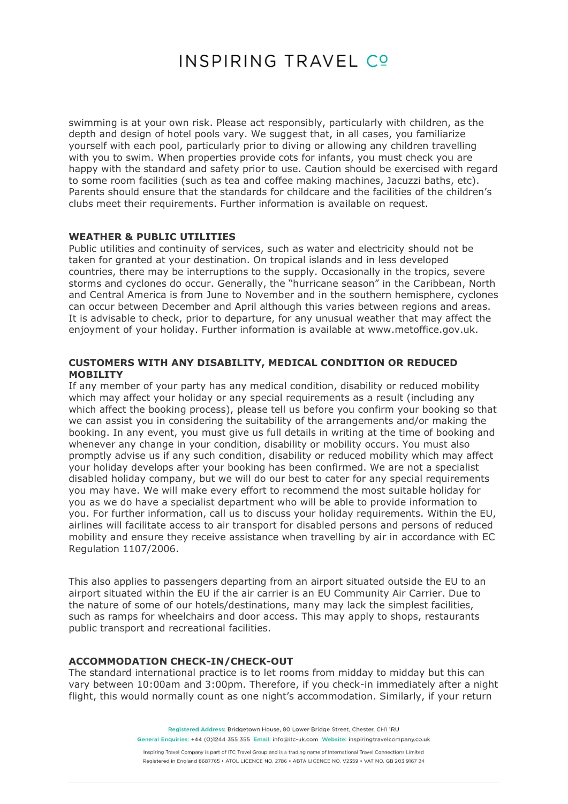swimming is at your own risk. Please act responsibly, particularly with children, as the depth and design of hotel pools vary. We suggest that, in all cases, you familiarize yourself with each pool, particularly prior to diving or allowing any children travelling with you to swim. When properties provide cots for infants, you must check you are happy with the standard and safety prior to use. Caution should be exercised with regard to some room facilities (such as tea and coffee making machines, Jacuzzi baths, etc). Parents should ensure that the standards for childcare and the facilities of the children's clubs meet their requirements. Further information is available on request.

## **WEATHER & PUBLIC UTILITIES**

Public utilities and continuity of services, such as water and electricity should not be taken for granted at your destination. On tropical islands and in less developed countries, there may be interruptions to the supply. Occasionally in the tropics, severe storms and cyclones do occur. Generally, the "hurricane season" in the Caribbean, North and Central America is from June to November and in the southern hemisphere, cyclones can occur between December and April although this varies between regions and areas. It is advisable to check, prior to departure, for any unusual weather that may affect the enjoyment of your holiday. Further information is available at www.metoffice.gov.uk.

## **CUSTOMERS WITH ANY DISABILITY, MEDICAL CONDITION OR REDUCED MOBILITY**

If any member of your party has any medical condition, disability or reduced mobility which may affect your holiday or any special requirements as a result (including any which affect the booking process), please tell us before you confirm your booking so that we can assist you in considering the suitability of the arrangements and/or making the booking. In any event, you must give us full details in writing at the time of booking and whenever any change in your condition, disability or mobility occurs. You must also promptly advise us if any such condition, disability or reduced mobility which may affect your holiday develops after your booking has been confirmed. We are not a specialist disabled holiday company, but we will do our best to cater for any special requirements you may have. We will make every effort to recommend the most suitable holiday for you as we do have a specialist department who will be able to provide information to you. For further information, call us to discuss your holiday requirements. Within the EU, airlines will facilitate access to air transport for disabled persons and persons of reduced mobility and ensure they receive assistance when travelling by air in accordance with EC Regulation 1107/2006.

This also applies to passengers departing from an airport situated outside the EU to an airport situated within the EU if the air carrier is an EU Community Air Carrier. Due to the nature of some of our hotels/destinations, many may lack the simplest facilities, such as ramps for wheelchairs and door access. This may apply to shops, restaurants public transport and recreational facilities.

### **ACCOMMODATION CHECK-IN/CHECK-OUT**

The standard international practice is to let rooms from midday to midday but this can vary between 10:00am and 3:00pm. Therefore, if you check-in immediately after a night flight, this would normally count as one night's accommodation. Similarly, if your return

> Registered Address: Bridgetown House, 80 Lower Bridge Street, Chester, CH11RU General Enguiries: +44 (0)1244 355 355 Email: info@itc-uk.com Website: inspiringtravelcompany.co.uk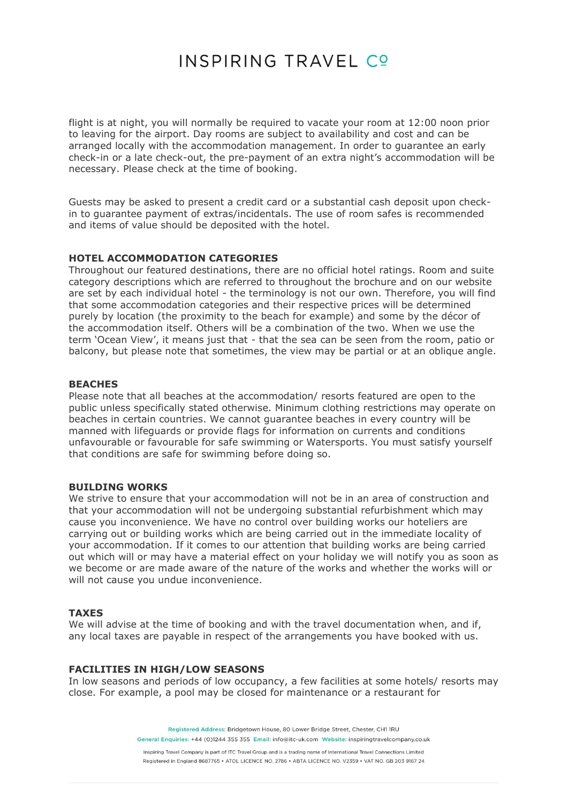flight is at night, you will normally be required to vacate your room at 12:00 noon prior to leaving for the airport. Day rooms are subject to availability and cost and can be arranged locally with the accommodation management. In order to guarantee an early check-in or a late check-out, the pre-payment of an extra night's accommodation will be necessary. Please check at the time of booking.

Guests may be asked to present a credit card or a substantial cash deposit upon checkin to guarantee payment of extras/incidentals. The use of room safes is recommended and items of value should be deposited with the hotel.

## **HOTEL ACCOMMODATION CATEGORIES**

Throughout our featured destinations, there are no official hotel ratings. Room and suite category descriptions which are referred to throughout the brochure and on our website are set by each individual hotel - the terminology is not our own. Therefore, you will find that some accommodation categories and their respective prices will be determined purely by location (the proximity to the beach for example) and some by the décor of the accommodation itself. Others will be a combination of the two. When we use the term 'Ocean View', it means just that - that the sea can be seen from the room, patio or balcony, but please note that sometimes, the view may be partial or at an oblique angle.

### **BEACHES**

Please note that all beaches at the accommodation/ resorts featured are open to the public unless specifically stated otherwise. Minimum clothing restrictions may operate on beaches in certain countries. We cannot guarantee beaches in every country will be manned with lifeguards or provide flags for information on currents and conditions unfavourable or favourable for safe swimming or Watersports. You must satisfy yourself that conditions are safe for swimming before doing so.

## **BUILDING WORKS**

We strive to ensure that your accommodation will not be in an area of construction and that your accommodation will not be undergoing substantial refurbishment which may cause you inconvenience. We have no control over building works our hoteliers are carrying out or building works which are being carried out in the immediate locality of your accommodation. If it comes to our attention that building works are being carried out which will or may have a material effect on your holiday we will notify you as soon as we become or are made aware of the nature of the works and whether the works will or will not cause you undue inconvenience.

### **TAXES**

We will advise at the time of booking and with the travel documentation when, and if, any local taxes are payable in respect of the arrangements you have booked with us.

### **FACILITIES IN HIGH/LOW SEASONS**

In low seasons and periods of low occupancy, a few facilities at some hotels/ resorts may close. For example, a pool may be closed for maintenance or a restaurant for

> Registered Address: Bridgetown House, 80 Lower Bridge Street, Chester, CH11RU General Enguiries: +44 (0)1244 355 355 Email: info@itc-uk.com Website: inspiringtravelcompany.co.uk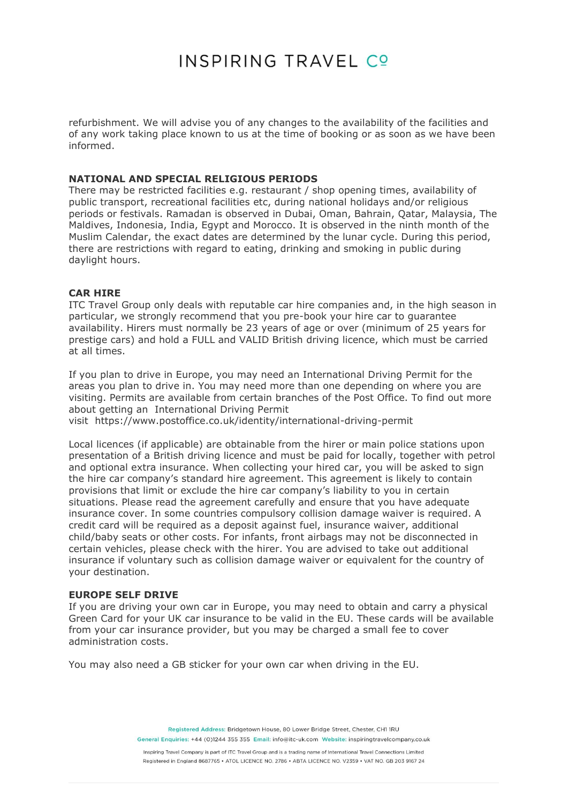refurbishment. We will advise you of any changes to the availability of the facilities and of any work taking place known to us at the time of booking or as soon as we have been informed.

#### **NATIONAL AND SPECIAL RELIGIOUS PERIODS**

There may be restricted facilities e.g. restaurant / shop opening times, availability of public transport, recreational facilities etc, during national holidays and/or religious periods or festivals. Ramadan is observed in Dubai, Oman, Bahrain, Qatar, Malaysia, The Maldives, Indonesia, India, Egypt and Morocco. It is observed in the ninth month of the Muslim Calendar, the exact dates are determined by the lunar cycle. During this period, there are restrictions with regard to eating, drinking and smoking in public during daylight hours.

## **CAR HIRE**

ITC Travel Group only deals with reputable car hire companies and, in the high season in particular, we strongly recommend that you pre-book your hire car to guarantee availability. Hirers must normally be 23 years of age or over (minimum of 25 years for prestige cars) and hold a FULL and VALID British driving licence, which must be carried at all times.

If you plan to drive in Europe, you may need an International Driving Permit for the areas you plan to drive in. You may need more than one depending on where you are visiting. Permits are available from certain branches of the Post Office. To find out more about getting an International Driving Permit

visit https://www.postoffice.co.uk/identity/international-driving-permit

Local licences (if applicable) are obtainable from the hirer or main police stations upon presentation of a British driving licence and must be paid for locally, together with petrol and optional extra insurance. When collecting your hired car, you will be asked to sign the hire car company's standard hire agreement. This agreement is likely to contain provisions that limit or exclude the hire car company's liability to you in certain situations. Please read the agreement carefully and ensure that you have adequate insurance cover. In some countries compulsory collision damage waiver is required. A credit card will be required as a deposit against fuel, insurance waiver, additional child/baby seats or other costs. For infants, front airbags may not be disconnected in certain vehicles, please check with the hirer. You are advised to take out additional insurance if voluntary such as collision damage waiver or equivalent for the country of your destination.

#### **EUROPE SELF DRIVE**

If you are driving your own car in Europe, you may need to obtain and carry a physical Green Card for your UK car insurance to be valid in the EU. These cards will be available from your car insurance provider, but you may be charged a small fee to cover administration costs.

You may also need a GB sticker for your own car when driving in the EU.

Registered Address: Bridgetown House, 80 Lower Bridge Street, Chester, CH11RU General Enguiries: +44 (0)1244 355 355 Email: info@itc-uk.com Website: inspiringtravelcompany.co.uk